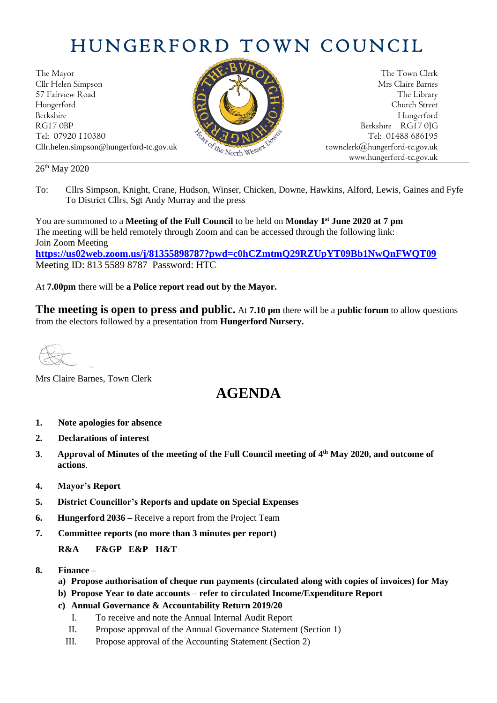# HUNGERFORD TOWN COUNCIL

The Mayor The Town Clerk Cllr Helen Simpson Mrs Claire Barnes 57 Fairview Road The Library (1999) and the Library (1999) and the Library (1999) and the Library (1999) and the Library (1999) and the Library (1999) and the Library (1999) and the Library (1999) and the Library (1999) an Hungerford Church Street Berkshire Hungerford RG17 0BP Berkshire RG17 0JG Cllr.helen.simpson@hungerford-tc.gov.uk [townclerk@hungerford-tc.gov.uk](mailto:townclerk@hungerford-tc.gov.uk)



Tel: 07920 110380 Tel: 07920 110380 Tel: 07920 110380 Tel: 01488 686195 www.hungerford-tc.gov.uk

#### 26<sup>th</sup> May 2020

To: Cllrs Simpson, Knight, Crane, Hudson, Winser, Chicken, Downe, Hawkins, Alford, Lewis, Gaines and Fyfe To District Cllrs, Sgt Andy Murray and the press

You are summoned to a **Meeting of the Full Council** to be held on **Monday 1 st June 2020 at 7 pm** The meeting will be held remotely through Zoom and can be accessed through the following link: Join Zoom Meeting **<https://us02web.zoom.us/j/81355898787?pwd=c0hCZmtmQ29RZUpYT09Bb1NwQnFWQT09>**

Meeting ID: 813 5589 8787 Password: HTC

At **7.00pm** there will be **a Police report read out by the Mayor.** 

**The meeting is open to press and public.** At **7.10 pm** there will be a **public forum** to allow questions from the electors followed by a presentation from **Hungerford Nursery.**

Mrs Claire Barnes, Town Clerk

## **AGENDA**

- **1. Note apologies for absence**
- **2. Declarations of interest**
- **3**. **Approval of Minutes of the meeting of the Full Council meeting of 4 th May 2020, and outcome of actions**.
- **4. Mayor's Report**
- **5. District Councillor's Reports and update on Special Expenses**
- **6. Hungerford 2036 –** Receive a report from the Project Team
- **7. Committee reports (no more than 3 minutes per report)**

#### **R&A F&GP E&P H&T**

- **8. Finance –**
	- **a) Propose authorisation of cheque run payments (circulated along with copies of invoices) for May**
	- **b) Propose Year to date accounts – refer to circulated Income/Expenditure Report**
	- **c) Annual Governance & Accountability Return 2019/20**
		- I. To receive and note the Annual Internal Audit Report
		- II. Propose approval of the Annual Governance Statement (Section 1)
		- III. Propose approval of the Accounting Statement (Section 2)